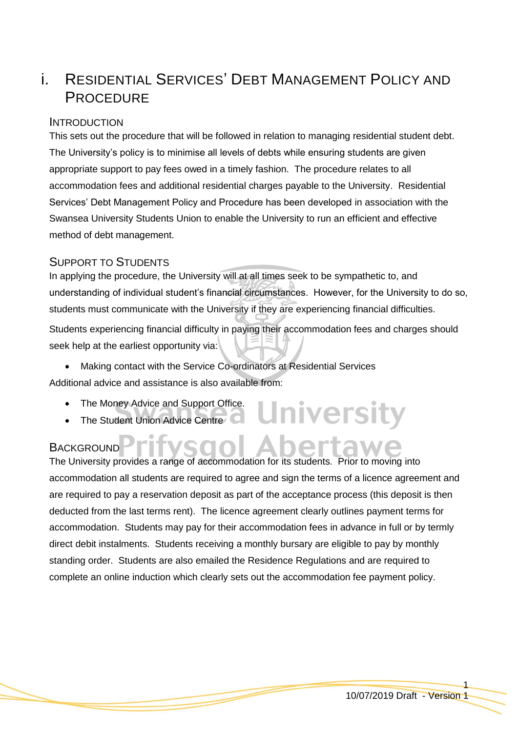# i. RESIDENTIAL SERVICES' DEBT MANAGEMENT POLICY AND **PROCEDURE**

## **INTRODUCTION**

This sets out the procedure that will be followed in relation to managing residential student debt. The University's policy is to minimise all levels of debts while ensuring students are given appropriate support to pay fees owed in a timely fashion. The procedure relates to all accommodation fees and additional residential charges payable to the University. Residential Services' Debt Management Policy and Procedure has been developed in association with the Swansea University Students Union to enable the University to run an efficient and effective method of debt management.

# SUPPORT TO STUDENTS

In applying the procedure, the University will at all times seek to be sympathetic to, and understanding of individual student's financial circumstances. However, for the University to do so, students must communicate with the University if they are experiencing financial difficulties.

Students experiencing financial difficulty in paying their accommodation fees and charges should seek help at the earliest opportunity via:

**University** 

 Making contact with the Service Co-ordinators at Residential Services Additional advice and assistance is also available from:

- The Money Advice and Support Office.
- The Student Union Advice Centre

# **BACKGROUND**

The University provides a range of accommodation for its students. Prior to moving into accommodation all students are required to agree and sign the terms of a licence agreement and are required to pay a reservation deposit as part of the acceptance process (this deposit is then deducted from the last terms rent). The licence agreement clearly outlines payment terms for accommodation. Students may pay for their accommodation fees in advance in full or by termly direct debit instalments. Students receiving a monthly bursary are eligible to pay by monthly standing order. Students are also emailed the Residence Regulations and are required to complete an online induction which clearly sets out the accommodation fee payment policy.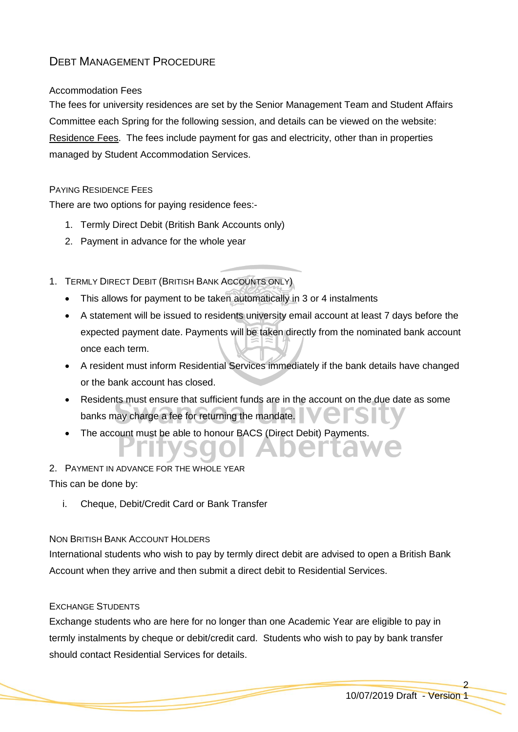# DEBT MANAGEMENT PROCEDURE

#### Accommodation Fees

The fees for university residences are set by the Senior Management Team and Student Affairs Committee each Spring for the following session, and details can be viewed on the website: [Residence Fees.](http://www.swansea.ac.uk/accommodation/residences/fees2012/) The fees include payment for gas and electricity, other than in properties managed by Student Accommodation Services.

#### PAYING RESIDENCE FEES

There are two options for paying residence fees:-

- 1. Termly Direct Debit (British Bank Accounts only)
- 2. Payment in advance for the whole year
- 1. TERMLY DIRECT DEBIT (BRITISH BANK ACCOUNTS ONLY)
	- This allows for payment to be taken automatically in 3 or 4 instalments
	- A statement will be issued to residents university email account at least 7 days before the expected payment date. Payments will be taken directly from the nominated bank account once each term.
	- A resident must inform Residential Services immediately if the bank details have changed or the bank account has closed.
	- Residents must ensure that sufficient funds are in the account on the due date as some banks may charge a fee for returning the mandate.
	- The account must be able to honour BACS (Direct Debit) Payments.

# 2. PAYMENT IN ADVANCE FOR THE WHOLE YEAR

This can be done by:

i. Cheque, Debit/Credit Card or Bank Transfer

#### NON BRITISH BANK ACCOUNT HOLDERS

International students who wish to pay by termly direct debit are advised to open a British Bank Account when they arrive and then submit a direct debit to Residential Services.

#### EXCHANGE STUDENTS

Exchange students who are here for no longer than one Academic Year are eligible to pay in termly instalments by cheque or debit/credit card. Students who wish to pay by bank transfer should contact Residential Services for details.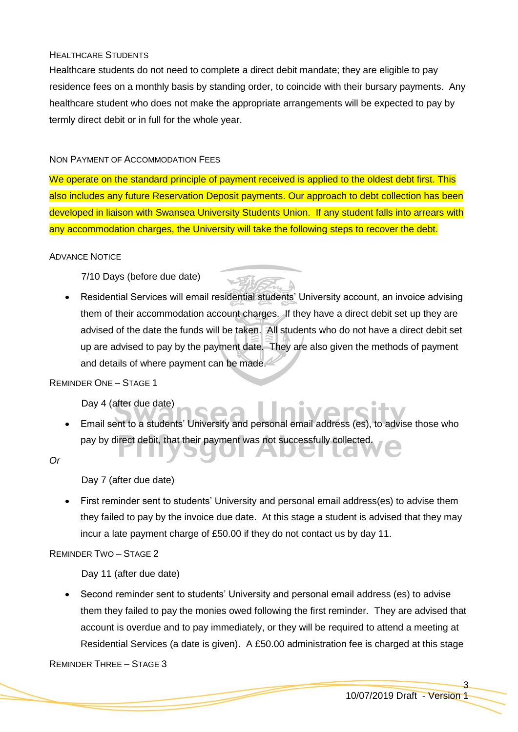#### HEALTHCARE STUDENTS

Healthcare students do not need to complete a direct debit mandate; they are eligible to pay residence fees on a monthly basis by standing order, to coincide with their bursary payments. Any healthcare student who does not make the appropriate arrangements will be expected to pay by termly direct debit or in full for the whole year.

#### NON PAYMENT OF ACCOMMODATION FEES

We operate on the standard principle of payment received is applied to the oldest debt first. This also includes any future Reservation Deposit payments. Our approach to debt collection has been developed in liaison with Swansea University Students Union. If any student falls into arrears with any accommodation charges, the University will take the following steps to recover the debt.

#### ADVANCE NOTICE

7/10 Days (before due date)

 Residential Services will email residential students' University account, an invoice advising them of their accommodation account charges. If they have a direct debit set up they are advised of the date the funds will be taken. All students who do not have a direct debit set up are advised to pay by the payment date. They are also given the methods of payment and details of where payment can be made.

#### REMINDER ONE – STAGE 1

Day 4 (after due date)

 Email sent to a students' University and personal email address (es), to advise those who pay by direct debit, that their payment was not successfully collected.

*Or*

#### Day 7 (after due date)

 First reminder sent to students' University and personal email address(es) to advise them they failed to pay by the invoice due date. At this stage a student is advised that they may incur a late payment charge of £50.00 if they do not contact us by day 11.

#### REMINDER TWO – STAGE 2

Day 11 (after due date)

 Second reminder sent to students' University and personal email address (es) to advise them they failed to pay the monies owed following the first reminder. They are advised that account is overdue and to pay immediately, or they will be required to attend a meeting at Residential Services (a date is given). A £50.00 administration fee is charged at this stage

REMINDER THREE – STAGE 3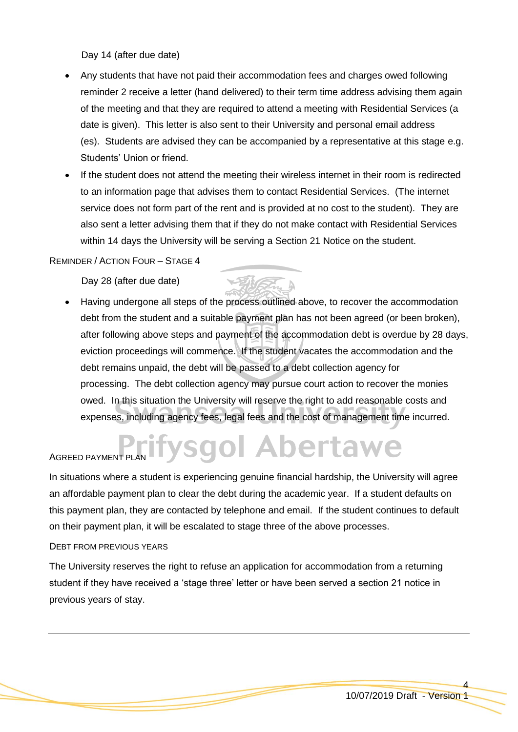Day 14 (after due date)

- Any students that have not paid their accommodation fees and charges owed following reminder 2 receive a letter (hand delivered) to their term time address advising them again of the meeting and that they are required to attend a meeting with Residential Services (a date is given). This letter is also sent to their University and personal email address (es). Students are advised they can be accompanied by a representative at this stage e.g. Students' Union or friend.
- If the student does not attend the meeting their wireless internet in their room is redirected to an information page that advises them to contact Residential Services. (The internet service does not form part of the rent and is provided at no cost to the student). They are also sent a letter advising them that if they do not make contact with Residential Services within 14 days the University will be serving a Section 21 Notice on the student.

#### REMINDER / ACTION FOUR – STAGE 4

Day 28 (after due date)

 Having undergone all steps of the process outlined above, to recover the accommodation debt from the student and a suitable payment plan has not been agreed (or been broken), after following above steps and payment of the accommodation debt is overdue by 28 days, eviction proceedings will commence. If the student vacates the accommodation and the debt remains unpaid, the debt will be passed to a debt collection agency for processing. The debt collection agency may pursue court action to recover the monies owed. In this situation the University will reserve the right to add reasonable costs and expenses, including agency fees, legal fees and the cost of management time incurred.

# */sgol Abertawe* AGREED PAYMENT PLAN

In situations where a student is experiencing genuine financial hardship, the University will agree an affordable payment plan to clear the debt during the academic year. If a student defaults on this payment plan, they are contacted by telephone and email. If the student continues to default on their payment plan, it will be escalated to stage three of the above processes.

#### DEBT FROM PREVIOUS YEARS

The University reserves the right to refuse an application for accommodation from a returning student if they have received a 'stage three' letter or have been served a section 21 notice in previous years of stay.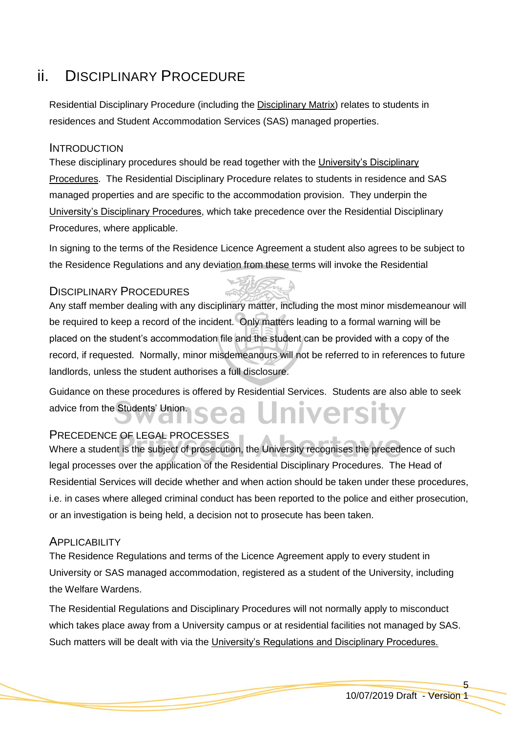# ii. DISCIPLINARY PROCEDURE

Residential Disciplinary Procedure (including the [Disciplinary Matrix\)](#page-13-0) relates to students in residences and Student Accommodation Services (SAS) managed properties.

## **INTRODUCTION**

These disciplinary procedures should be read together with the [University's Disciplinary](http://www.swan.ac.uk/registry/a-zguide/d/disciplinaryprocedures/)  [Procedures.](http://www.swan.ac.uk/registry/a-zguide/d/disciplinaryprocedures/) The Residential Disciplinary Procedure relates to students in residence and SAS managed properties and are specific to the accommodation provision. They underpin the [University's Disciplinary Procedures,](http://www.swan.ac.uk/registry/a-zguide/d/disciplinaryprocedures/) which take precedence over the Residential Disciplinary Procedures, where applicable.

In signing to the terms of the Residence Licence Agreement a student also agrees to be subject to the Residence Regulations and any deviation from these terms will invoke the Residential

## DISCIPLINARY PROCEDURES

Any staff member dealing with any disciplinary matter, including the most minor misdemeanour will be required to keep a record of the incident. Only matters leading to a formal warning will be placed on the student's accommodation file and the student can be provided with a copy of the record, if requested. Normally, minor misdemeanours will not be referred to in references to future landlords, unless the student authorises a full disclosure.

Guidance on these procedures is offered by Residential Services. Students are also able to seek advice from the Students' Union.

# PRECEDENCE OF LEGAL PROCESSES

Where a student is the subject of prosecution, the University recognises the precedence of such legal processes over the application of the Residential Disciplinary Procedures. The Head of Residential Services will decide whether and when action should be taken under these procedures, i.e. in cases where alleged criminal conduct has been reported to the police and either prosecution, or an investigation is being held, a decision not to prosecute has been taken.

### **APPLICABILITY**

The Residence Regulations and terms of the Licence Agreement apply to every student in University or SAS managed accommodation, registered as a student of the University, including the Welfare Wardens.

The Residential Regulations and Disciplinary Procedures will not normally apply to misconduct which takes place away from a University campus or at residential facilities not managed by SAS. Such matters will be dealt with via the [University's Regulations and Disciplinary Procedures.](http://www.swan.ac.uk/registry/academicguide/conductandcomplaints)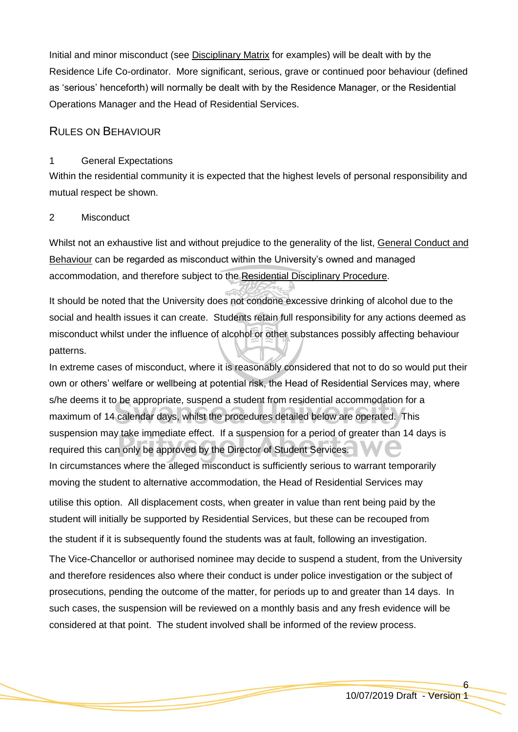Initial and minor misconduct (see [Disciplinary Matrix](#page-13-0) for examples) will be dealt with by the Residence Life Co-ordinator. More significant, serious, grave or continued poor behaviour (defined as 'serious' henceforth) will normally be dealt with by the Residence Manager, or the Residential Operations Manager and the Head of Residential Services.

## RULES ON BEHAVIOUR

#### 1 General Expectations

Within the residential community it is expected that the highest levels of personal responsibility and mutual respect be shown.

#### 2 Misconduct

Whilst not an exhaustive list and without prejudice to the generality of the list, General Conduct and Behaviour can be regarded as misconduct within the University's owned and managed accommodation, and therefore subject to the Residential Disciplinary Procedure.

It should be noted that the University does not condone excessive drinking of alcohol due to the social and health issues it can create. Students retain full responsibility for any actions deemed as misconduct whilst under the influence of alcohol or other substances possibly affecting behaviour patterns.

In extreme cases of misconduct, where it is reasonably considered that not to do so would put their own or others' welfare or wellbeing at potential risk, the Head of Residential Services may, where s/he deems it to be appropriate, suspend a student from residential accommodation for a maximum of 14 calendar days, whilst the procedures detailed below are operated. This suspension may take immediate effect. If a suspension for a period of greater than 14 days is required this can only be approved by the Director of Student Services. In circumstances where the alleged misconduct is sufficiently serious to warrant temporarily moving the student to alternative accommodation, the Head of Residential Services may

utilise this option. All displacement costs, when greater in value than rent being paid by the student will initially be supported by Residential Services, but these can be recouped from the student if it is subsequently found the students was at fault, following an investigation.

The Vice-Chancellor or authorised nominee may decide to suspend a student, from the University and therefore residences also where their conduct is under police investigation or the subject of prosecutions, pending the outcome of the matter, for periods up to and greater than 14 days. In such cases, the suspension will be reviewed on a monthly basis and any fresh evidence will be considered at that point. The student involved shall be informed of the review process.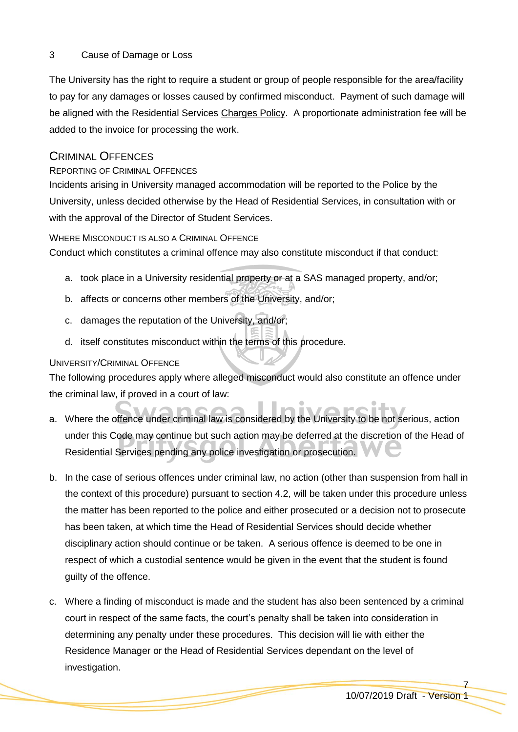## 3 Cause of Damage or Loss

The University has the right to require a student or group of people responsible for the area/facility to pay for any damages or losses caused by confirmed misconduct. Payment of such damage will be aligned with the Residential Services [Charges Policy.](#page-17-0) A proportionate administration fee will be added to the invoice for processing the work.

# CRIMINAL OFFENCES

# REPORTING OF CRIMINAL OFFENCES

Incidents arising in University managed accommodation will be reported to the Police by the University, unless decided otherwise by the Head of Residential Services, in consultation with or with the approval of the Director of Student Services.

### WHERE MISCONDUCT IS ALSO A CRIMINAL OFFENCE

Conduct which constitutes a criminal offence may also constitute misconduct if that conduct:

- a. took place in a University residential property or at a SAS managed property, and/or;
- b. affects or concerns other members of the University, and/or;
- c. damages the reputation of the University, and/or;
- d. itself constitutes misconduct within the terms of this procedure.

## UNIVERSITY/CRIMINAL OFFENCE

The following procedures apply where alleged misconduct would also constitute an offence under the criminal law, if proved in a court of law:

- a. Where the offence under criminal law is considered by the University to be not serious, action under this Code may continue but such action may be deferred at the discretion of the Head of Residential Services pending any police investigation or prosecution.
- b. In the case of serious offences under criminal law, no action (other than suspension from hall in the context of this procedure) pursuant to section 4.2, will be taken under this procedure unless the matter has been reported to the police and either prosecuted or a decision not to prosecute has been taken, at which time the Head of Residential Services should decide whether disciplinary action should continue or be taken. A serious offence is deemed to be one in respect of which a custodial sentence would be given in the event that the student is found guilty of the offence.
- c. Where a finding of misconduct is made and the student has also been sentenced by a criminal court in respect of the same facts, the court's penalty shall be taken into consideration in determining any penalty under these procedures. This decision will lie with either the Residence Manager or the Head of Residential Services dependant on the level of investigation.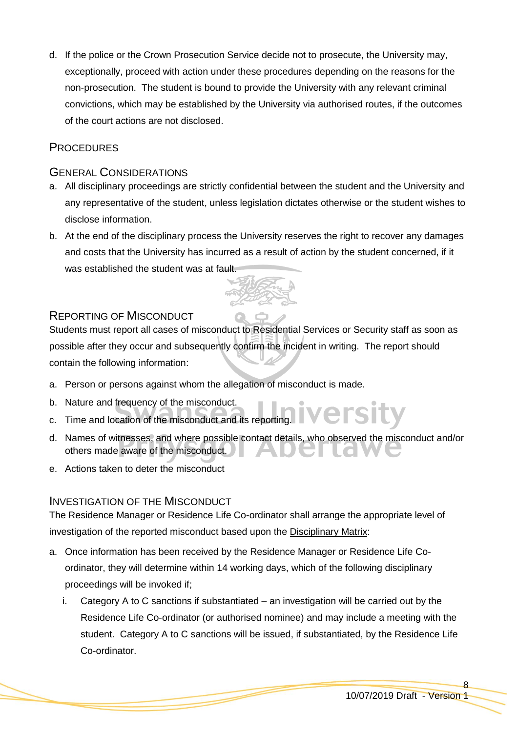d. If the police or the Crown Prosecution Service decide not to prosecute, the University may, exceptionally, proceed with action under these procedures depending on the reasons for the non-prosecution. The student is bound to provide the University with any relevant criminal convictions, which may be established by the University via authorised routes, if the outcomes of the court actions are not disclosed.

# **PROCEDURES**

# GENERAL CONSIDERATIONS

- a. All disciplinary proceedings are strictly confidential between the student and the University and any representative of the student, unless legislation dictates otherwise or the student wishes to disclose information.
- b. At the end of the disciplinary process the University reserves the right to recover any damages and costs that the University has incurred as a result of action by the student concerned, if it was established the student was at fault.



# REPORTING OF MISCONDUCT

Students must report all cases of misconduct to Residential Services or Security staff as soon as possible after they occur and subsequently confirm the incident in writing. The report should contain the following information:

- a. Person or persons against whom the allegation of misconduct is made.
- b. Nature and frequency of the misconduct.
- c. Time and location of the misconduct and its reporting.
- d. Names of witnesses, and where possible contact details, who observed the misconduct and/or others made aware of the misconduct.
- e. Actions taken to deter the misconduct

# INVESTIGATION OF THE MISCONDUCT

The Residence Manager or Residence Life Co-ordinator shall arrange the appropriate level of investigation of the reported misconduct based upon the [Disciplinary Matrix:](#page-13-0)

- a. Once information has been received by the Residence Manager or Residence Life Coordinator, they will determine within 14 working days, which of the following disciplinary proceedings will be invoked if;
	- i. Category A to C sanctions if substantiated an investigation will be carried out by the Residence Life Co-ordinator (or authorised nominee) and may include a meeting with the student. Category A to C sanctions will be issued, if substantiated, by the Residence Life Co-ordinator.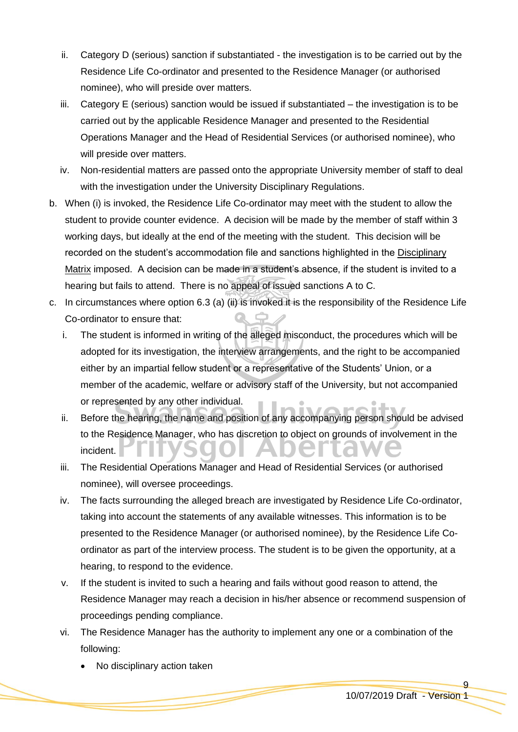- ii. Category D (serious) sanction if substantiated the investigation is to be carried out by the Residence Life Co-ordinator and presented to the Residence Manager (or authorised nominee), who will preside over matters.
- iii. Category E (serious) sanction would be issued if substantiated the investigation is to be carried out by the applicable Residence Manager and presented to the Residential Operations Manager and the Head of Residential Services (or authorised nominee), who will preside over matters.
- iv. Non-residential matters are passed onto the appropriate University member of staff to deal with the investigation under the University Disciplinary Regulations.
- b. When (i) is invoked, the Residence Life Co-ordinator may meet with the student to allow the student to provide counter evidence. A decision will be made by the member of staff within 3 working days, but ideally at the end of the meeting with the student. This decision will be recorded on the student's accommodation file and sanctions highlighted in the [Disciplinary](#page-13-0)  [Matrix](#page-13-0) imposed. A decision can be made in a student's absence, if the student is invited to a hearing but fails to attend. There is no appeal of issued sanctions A to C.
- c. In circumstances where option 6.3 (a) (ii) is invoked it is the responsibility of the Residence Life Co-ordinator to ensure that:
	- i. The student is informed in writing of the alleged misconduct, the procedures which will be adopted for its investigation, the interview arrangements, and the right to be accompanied either by an impartial fellow student or a representative of the Students' Union, or a member of the academic, welfare or advisory staff of the University, but not accompanied or represented by any other individual.
	- ii. Before the hearing, the name and position of any accompanying person should be advised to the Residence Manager, who has discretion to object on grounds of involvement in the incident.
	- iii. The Residential Operations Manager and Head of Residential Services (or authorised nominee), will oversee proceedings.
	- iv. The facts surrounding the alleged breach are investigated by Residence Life Co-ordinator, taking into account the statements of any available witnesses. This information is to be presented to the Residence Manager (or authorised nominee), by the Residence Life Coordinator as part of the interview process. The student is to be given the opportunity, at a hearing, to respond to the evidence.
	- v. If the student is invited to such a hearing and fails without good reason to attend, the Residence Manager may reach a decision in his/her absence or recommend suspension of proceedings pending compliance.
	- vi. The Residence Manager has the authority to implement any one or a combination of the following:
		- No disciplinary action taken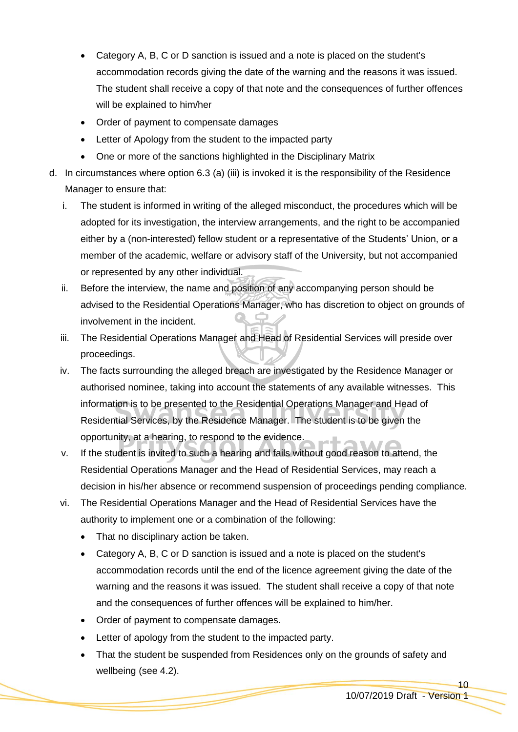- Category A, B, C or D sanction is issued and a note is placed on the student's accommodation records giving the date of the warning and the reasons it was issued. The student shall receive a copy of that note and the consequences of further offences will be explained to him/her
- Order of payment to compensate damages
- Letter of Apology from the student to the impacted party
- One or more of the sanctions highlighted in the Disciplinary Matrix
- d. In circumstances where option 6.3 (a) (iii) is invoked it is the responsibility of the Residence Manager to ensure that:
	- i. The student is informed in writing of the alleged misconduct, the procedures which will be adopted for its investigation, the interview arrangements, and the right to be accompanied either by a (non-interested) fellow student or a representative of the Students' Union, or a member of the academic, welfare or advisory staff of the University, but not accompanied or represented by any other individual.
	- ii. Before the interview, the name and position of any accompanying person should be advised to the Residential Operations Manager, who has discretion to object on grounds of involvement in the incident.
	- iii. The Residential Operations Manager and Head of Residential Services will preside over proceedings.
	- iv. The facts surrounding the alleged breach are investigated by the Residence Manager or authorised nominee, taking into account the statements of any available witnesses. This information is to be presented to the Residential Operations Manager and Head of Residential Services, by the Residence Manager. The student is to be given the opportunity, at a hearing, to respond to the evidence.
	- v. If the student is invited to such a hearing and fails without good reason to attend, the Residential Operations Manager and the Head of Residential Services, may reach a decision in his/her absence or recommend suspension of proceedings pending compliance.
	- vi. The Residential Operations Manager and the Head of Residential Services have the authority to implement one or a combination of the following:
		- That no disciplinary action be taken.
		- Category A, B, C or D sanction is issued and a note is placed on the student's accommodation records until the end of the licence agreement giving the date of the warning and the reasons it was issued. The student shall receive a copy of that note and the consequences of further offences will be explained to him/her.
		- Order of payment to compensate damages.
		- Letter of apology from the student to the impacted party.
		- That the student be suspended from Residences only on the grounds of safety and wellbeing (see 4.2).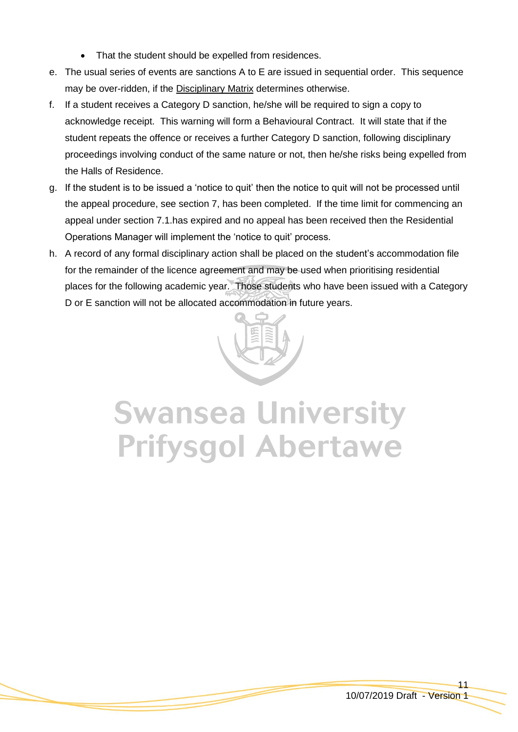- That the student should be expelled from residences.
- e. The usual series of events are sanctions A to E are issued in sequential order. This sequence may be over-ridden, if the **Disciplinary Matrix** determines otherwise.
- f. If a student receives a Category D sanction, he/she will be required to sign a copy to acknowledge receipt. This warning will form a Behavioural Contract. It will state that if the student repeats the offence or receives a further Category D sanction, following disciplinary proceedings involving conduct of the same nature or not, then he/she risks being expelled from the Halls of Residence.
- g. If the student is to be issued a 'notice to quit' then the notice to quit will not be processed until the appeal procedure, see section 7, has been completed. If the time limit for commencing an appeal under section 7.1.has expired and no appeal has been received then the Residential Operations Manager will implement the 'notice to quit' process.
- h. A record of any formal disciplinary action shall be placed on the student's accommodation file for the remainder of the licence agreement and may be used when prioritising residential places for the following academic year. Those students who have been issued with a Category D or E sanction will not be allocated accommodation in future years.



# **Swansea University Prifysgol Abertawe**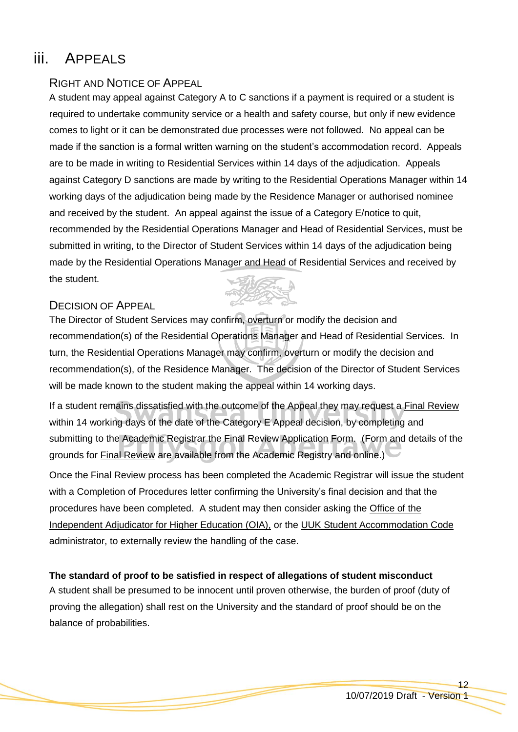# iii. APPEALS

# RIGHT AND NOTICE OF APPEAL

A student may appeal against Category A to C sanctions if a payment is required or a student is required to undertake community service or a health and safety course, but only if new evidence comes to light or it can be demonstrated due processes were not followed. No appeal can be made if the sanction is a formal written warning on the student's accommodation record. Appeals are to be made in writing to Residential Services within 14 days of the adjudication. Appeals against Category D sanctions are made by writing to the Residential Operations Manager within 14 working days of the adjudication being made by the Residence Manager or authorised nominee and received by the student. An appeal against the issue of a Category E/notice to quit, recommended by the Residential Operations Manager and Head of Residential Services, must be submitted in writing, to the Director of Student Services within 14 days of the adjudication being made by the Residential Operations Manager and Head of Residential Services and received by the student.

# DECISION OF APPEAL

The Director of Student Services may confirm, overturn or modify the decision and recommendation(s) of the Residential Operations Manager and Head of Residential Services. In turn, the Residential Operations Manager may confirm, overturn or modify the decision and recommendation(s), of the Residence Manager. The decision of the Director of Student Services will be made known to the student making the appeal within 14 working days.

If a student remains dissatisfied with the outcome of the Appeal they may request a [Final Review](http://www.swan.ac.uk/registry/academicguide/conductandcomplaints/finalreviewprocedure/) within 14 working days of the date of the Category E Appeal decision, by completing and submitting to the Academic Registrar the Final Review Application Form. (Form and details of the grounds for **Final Review** are available from the Academic Registry and online.)

Once the Final Review process has been completed the Academic Registrar will issue the student with a Completion of Procedures letter confirming the University's final decision and that the procedures have been completed. A student may then consider asking the [Office of the](http://www.oiahe.org.uk/)  Independent [Adjudicator for Higher Education \(OIA\),](http://www.oiahe.org.uk/) or the [UUK Student Accommodation Code](http://www.uukcode.info/) administrator, to externally review the handling of the case.

# **The standard of proof to be satisfied in respect of allegations of student misconduct**

A student shall be presumed to be innocent until proven otherwise, the burden of proof (duty of proving the allegation) shall rest on the University and the standard of proof should be on the balance of probabilities.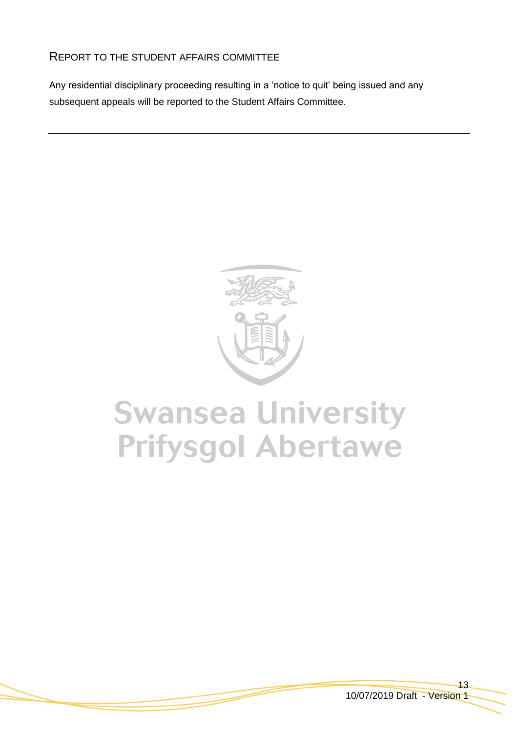# REPORT TO THE STUDENT AFFAIRS COMMITTEE

Any residential disciplinary proceeding resulting in a 'notice to quit' being issued and any subsequent appeals will be reported to the Student Affairs Committee.



# **Swansea University Prifysgol Abertawe**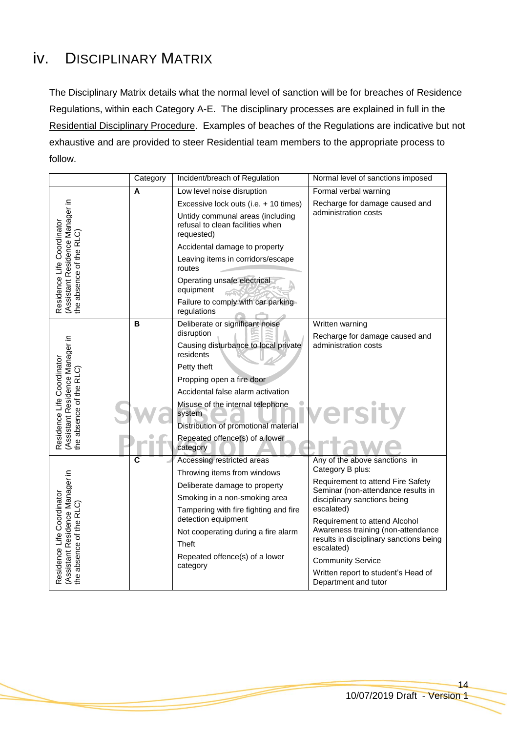# <span id="page-13-0"></span>iv. DISCIPLINARY MATRIX

The Disciplinary Matrix details what the normal level of sanction will be for breaches of Residence Regulations, within each Category A-E. The disciplinary processes are explained in full in the Residential Disciplinary Procedure. Examples of beaches of the Regulations are indicative but not exhaustive and are provided to steer Residential team members to the appropriate process to follow.

|                                                                                          | Category                | Incident/breach of Regulation                                                      | Normal level of sanctions imposed                                       |
|------------------------------------------------------------------------------------------|-------------------------|------------------------------------------------------------------------------------|-------------------------------------------------------------------------|
| Residence Life Coordinator<br>(Assistant Residence Manager in<br>the absence of the RLC) | Α                       | Low level noise disruption                                                         | Formal verbal warning                                                   |
|                                                                                          |                         | Excessive lock outs (i.e. + 10 times)                                              | Recharge for damage caused and                                          |
|                                                                                          |                         | Untidy communal areas (including<br>refusal to clean facilities when<br>requested) | administration costs                                                    |
|                                                                                          |                         | Accidental damage to property                                                      |                                                                         |
|                                                                                          |                         | Leaving items in corridors/escape<br>routes                                        |                                                                         |
|                                                                                          |                         | Operating unsafe electrical<br>equipment                                           |                                                                         |
|                                                                                          |                         | Failure to comply with car parking<br>regulations                                  |                                                                         |
| Residence Life Coordinator<br>(Assistant Residence Manager in<br>the absence of the RLC) | в                       | Deliberate or significant noise                                                    | Written warning                                                         |
|                                                                                          |                         | disruption<br>Causing disturbance to local private                                 | Recharge for damage caused and<br>administration costs                  |
|                                                                                          |                         | residents                                                                          |                                                                         |
|                                                                                          |                         | Petty theft                                                                        |                                                                         |
|                                                                                          |                         | Propping open a fire door                                                          |                                                                         |
|                                                                                          |                         | Accidental false alarm activation                                                  |                                                                         |
|                                                                                          |                         | Misuse of the internal telephone<br>system                                         | ersity                                                                  |
|                                                                                          |                         | Distribution of promotional material                                               |                                                                         |
|                                                                                          |                         | Repeated offence(s) of a lower<br>category                                         |                                                                         |
| (Assistant Residence Manager in<br>the absence of the RLC)<br>Residence Life Coordinator | $\overline{\mathsf{c}}$ | Accessing restricted areas                                                         | Any of the above sanctions in                                           |
|                                                                                          |                         | Throwing items from windows                                                        | Category B plus:                                                        |
|                                                                                          |                         | Deliberate damage to property                                                      | Requirement to attend Fire Safety<br>Seminar (non-attendance results in |
|                                                                                          |                         | Smoking in a non-smoking area                                                      | disciplinary sanctions being                                            |
|                                                                                          |                         | Tampering with fire fighting and fire<br>detection equipment                       | escalated)                                                              |
|                                                                                          |                         | Not cooperating during a fire alarm                                                | Requirement to attend Alcohol<br>Awareness training (non-attendance     |
|                                                                                          |                         | <b>Theft</b>                                                                       | results in disciplinary sanctions being                                 |
|                                                                                          |                         | Repeated offence(s) of a lower                                                     | escalated)                                                              |
|                                                                                          |                         | category                                                                           | <b>Community Service</b>                                                |
|                                                                                          |                         |                                                                                    | Written report to student's Head of<br>Department and tutor             |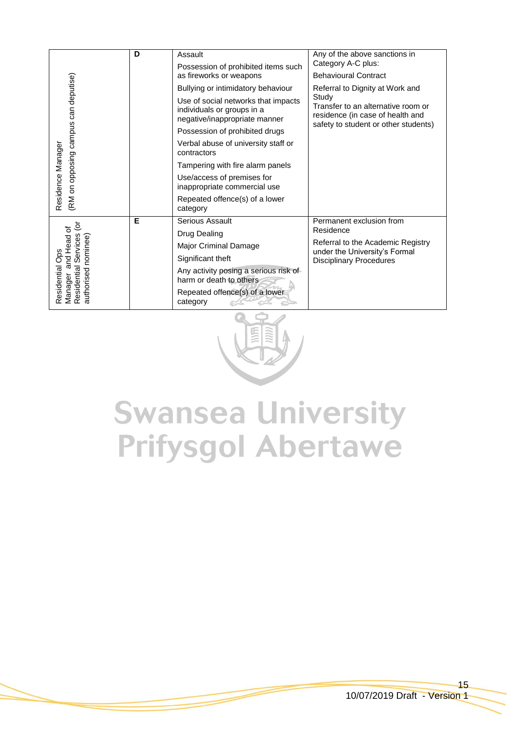| (RM on opposing campus can deputise)<br>Residence Manager                                                                 | D | Assault                                                                                            | Any of the above sanctions in                                                                                           |
|---------------------------------------------------------------------------------------------------------------------------|---|----------------------------------------------------------------------------------------------------|-------------------------------------------------------------------------------------------------------------------------|
|                                                                                                                           |   | Possession of prohibited items such                                                                | Category A-C plus:                                                                                                      |
|                                                                                                                           |   | as fireworks or weapons                                                                            | <b>Behavioural Contract</b>                                                                                             |
|                                                                                                                           |   | Bullying or intimidatory behaviour                                                                 | Referral to Dignity at Work and                                                                                         |
|                                                                                                                           |   | Use of social networks that impacts<br>individuals or groups in a<br>negative/inappropriate manner | Study<br>Transfer to an alternative room or<br>residence (in case of health and<br>safety to student or other students) |
|                                                                                                                           |   | Possession of prohibited drugs                                                                     |                                                                                                                         |
|                                                                                                                           |   | Verbal abuse of university staff or<br>contractors                                                 |                                                                                                                         |
|                                                                                                                           |   | Tampering with fire alarm panels                                                                   |                                                                                                                         |
|                                                                                                                           |   | Use/access of premises for<br>inappropriate commercial use                                         |                                                                                                                         |
|                                                                                                                           |   | Repeated offence(s) of a lower<br>category                                                         |                                                                                                                         |
| $\tilde{\mathbf{c}}$<br>and Head of<br>Manager and Head<br>Residential Services<br>authorised nominee)<br>Residential Ops | Е | Serious Assault                                                                                    | Permanent exclusion from<br>Residence                                                                                   |
|                                                                                                                           |   | Drug Dealing                                                                                       |                                                                                                                         |
|                                                                                                                           |   | Major Criminal Damage                                                                              | Referral to the Academic Registry<br>under the University's Formal                                                      |
|                                                                                                                           |   | Significant theft                                                                                  | <b>Disciplinary Procedures</b>                                                                                          |
|                                                                                                                           |   | Any activity posing a serious risk of<br>harm or death to others                                   |                                                                                                                         |
|                                                                                                                           |   | Repeated offence(s) of a lower<br>category                                                         |                                                                                                                         |



# **Swansea University Prifysgol Abertawe**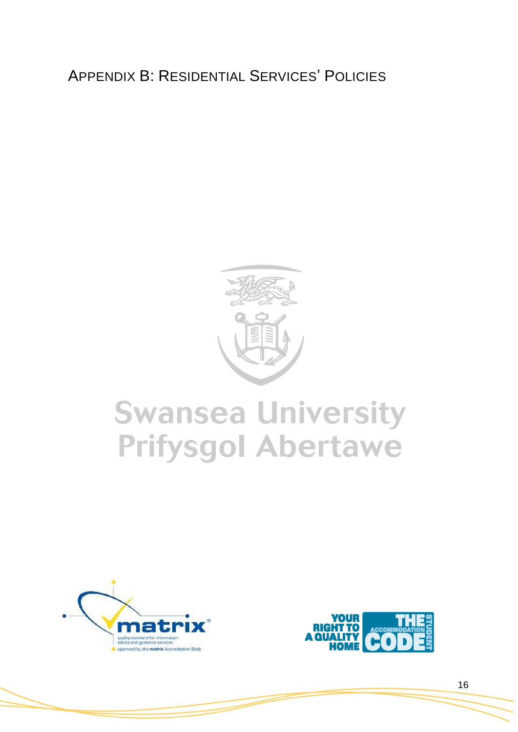# APPENDIX B: RESIDENTIAL SERVICES' POLICIES



# **Swansea University Prifysgol Abertawe**



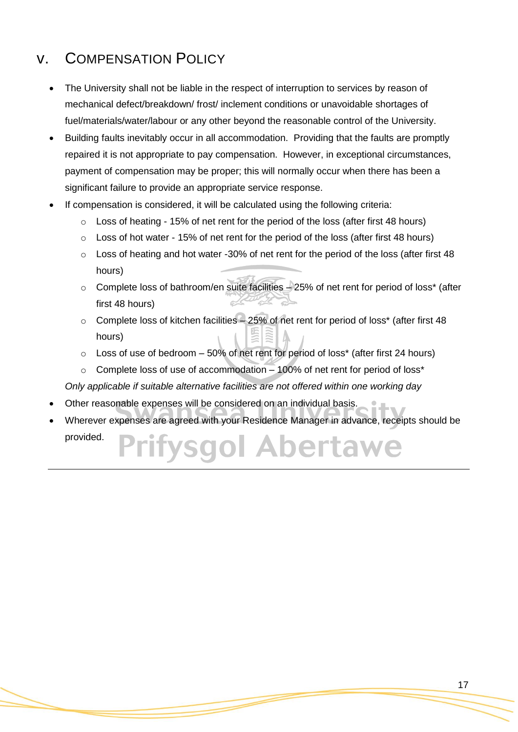# v. COMPENSATION POLICY

- The University shall not be liable in the respect of interruption to services by reason of mechanical defect/breakdown/ frost/ inclement conditions or unavoidable shortages of fuel/materials/water/labour or any other beyond the reasonable control of the University.
- Building faults inevitably occur in all accommodation. Providing that the faults are promptly repaired it is not appropriate to pay compensation. However, in exceptional circumstances, payment of compensation may be proper; this will normally occur when there has been a significant failure to provide an appropriate service response.
- If compensation is considered, it will be calculated using the following criteria:
	- $\circ$  Loss of heating 15% of net rent for the period of the loss (after first 48 hours)
	- o Loss of hot water 15% of net rent for the period of the loss (after first 48 hours)
	- $\circ$  Loss of heating and hot water -30% of net rent for the period of the loss (after first 48 hours)
	- o Complete loss of bathroom/en suite facilities 25% of net rent for period of loss\* (after Lo first 48 hours)
	- o Complete loss of kitchen facilities 25% of net rent for period of loss\* (after first 48 hours)
	- $\circ$  Loss of use of bedroom 50% of net rent for period of loss\* (after first 24 hours)
	- $\circ$  Complete loss of use of accommodation 100% of net rent for period of loss\*

*Only applicable if suitable alternative facilities are not offered within one working day*

- Other reasonable expenses will be considered on an individual basis.
- Wherever expenses are agreed with your Residence Manager in advance, receipts should be provided.al Abertaw **VSOC**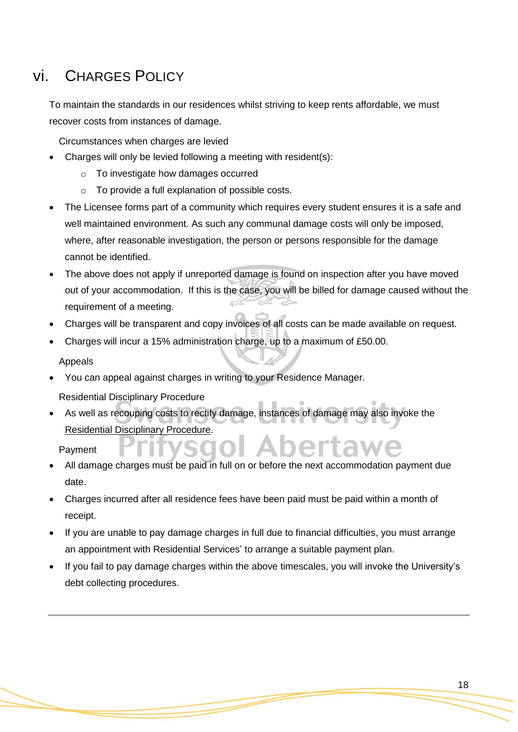# <span id="page-17-0"></span>vi. CHARGES POLICY

To maintain the standards in our residences whilst striving to keep rents affordable, we must recover costs from instances of damage.

Circumstances when charges are levied

- Charges will only be levied following a meeting with resident(s):
	- o To investigate how damages occurred
	- o To provide a full explanation of possible costs.
- The Licensee forms part of a community which requires every student ensures it is a safe and well maintained environment. As such any communal damage costs will only be imposed, where, after reasonable investigation, the person or persons responsible for the damage cannot be identified.
- The above does not apply if unreported damage is found on inspection after you have moved out of your accommodation. If this is the case, you will be billed for damage caused without the requirement of a meeting.
- Charges will be transparent and copy invoices of all costs can be made available on request.
- Charges will incur a 15% administration charge, up to a maximum of £50.00.

Appeals

- You can appeal against charges in writing to your Residence Manager.
	- Residential Disciplinary Procedure
- As well as recouping costs to rectify damage, instances of damage may also invoke the Residential Disciplinary Procedure.

Payment

- All damage charges must be paid in full on or before the next accommodation payment due date.
- Charges incurred after all residence fees have been paid must be paid within a month of receipt.
- If you are unable to pay damage charges in full due to financial difficulties, you must arrange an appointment with Residential Services' to arrange a suitable payment plan.
- If you fail to pay damage charges within the above timescales, you will invoke the University's debt collecting procedures.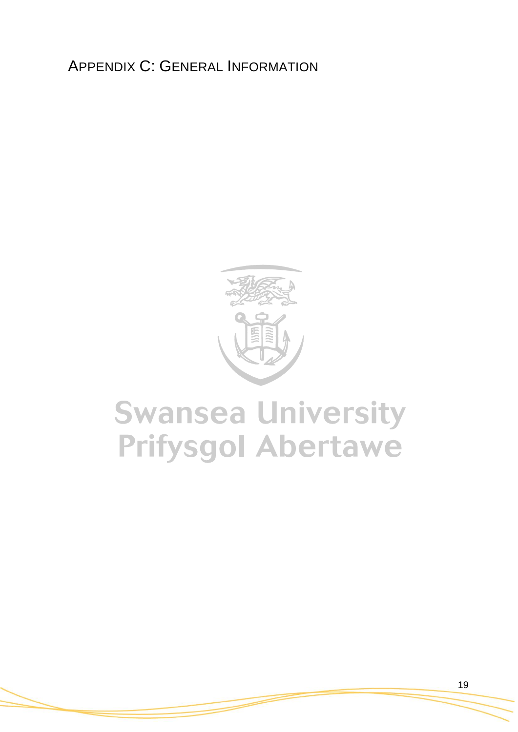APPENDIX C: GENERAL INFORMATION



# **Swansea University Prifysgol Abertawe**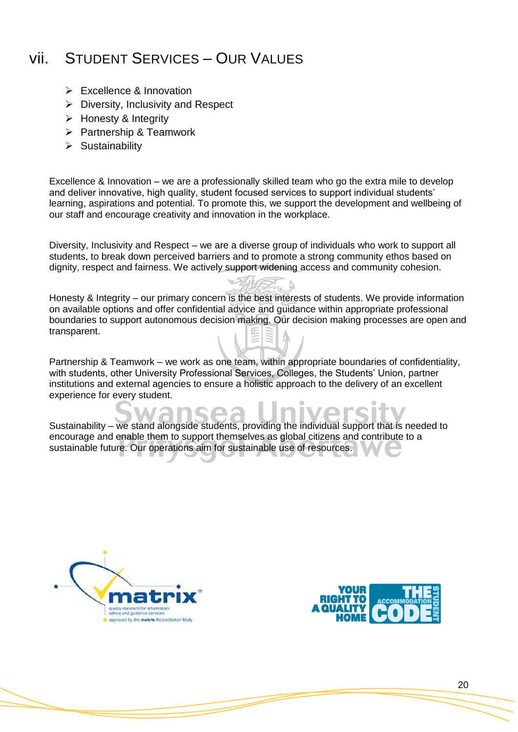# vii. STUDENT SERVICES – OUR VALUES

- $\triangleright$  Excellence & Innovation
- $\triangleright$  Diversity, Inclusivity and Respect
- $\triangleright$  Honesty & Integrity
- $\triangleright$  Partnership & Teamwork
- $\triangleright$  Sustainability

Excellence & Innovation – we are a professionally skilled team who go the extra mile to develop and deliver innovative, high quality, student focused services to support individual students' learning, aspirations and potential. To promote this, we support the development and wellbeing of our staff and encourage creativity and innovation in the workplace.

Diversity, Inclusivity and Respect – we are a diverse group of individuals who work to support all students, to break down perceived barriers and to promote a strong community ethos based on dignity, respect and fairness. We actively support widening access and community cohesion.

Honesty & Integrity – our primary concern is the best interests of students. We provide information on available options and offer confidential advice and guidance within appropriate professional boundaries to support autonomous decision making. Our decision making processes are open and transparent.

Partnership & Teamwork – we work as one team, within appropriate boundaries of confidentiality, with students, other University Professional Services, Colleges, the Students' Union, partner institutions and external agencies to ensure a holistic approach to the delivery of an excellent experience for every student.

Sustainability – we stand alongside students, providing the individual support that is needed to encourage and enable them to support themselves as global citizens and contribute to a sustainable future. Our operations aim for sustainable use of resources.



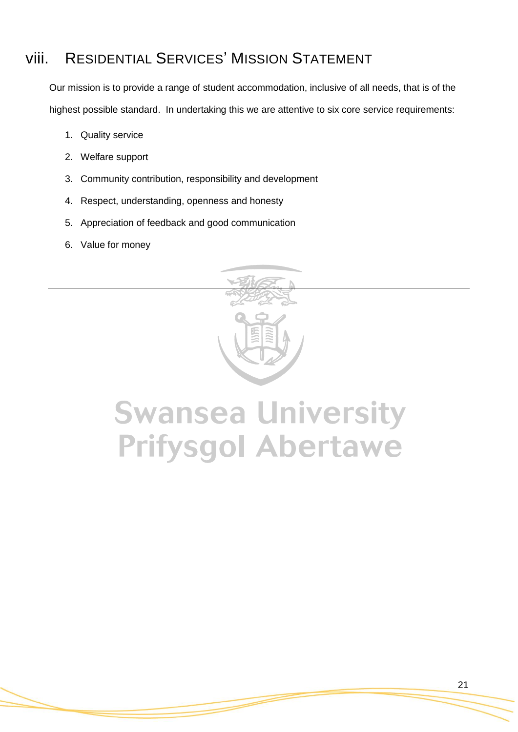# viii. RESIDENTIAL SERVICES' MISSION STATEMENT

Our mission is to provide a range of student accommodation, inclusive of all needs, that is of the highest possible standard. In undertaking this we are attentive to six core service requirements:

- 1. Quality service
- 2. Welfare support
- 3. Community contribution, responsibility and development
- 4. Respect, understanding, openness and honesty
- 5. Appreciation of feedback and good communication
- 6. Value for money



# **Swansea University Prifysgol Abertawe**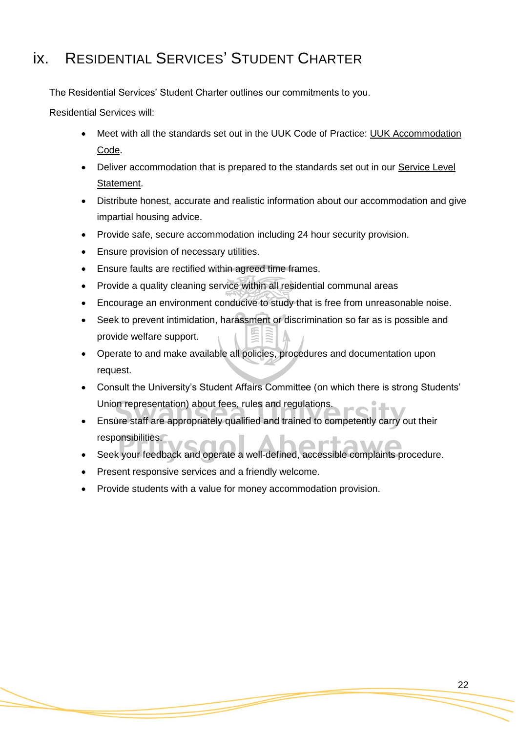# ix. RESIDENTIAL SERVICES' STUDENT CHARTER

The Residential Services' Student Charter outlines our commitments to you.

Residential Services will:

- Meet with all the standards set out in the UUK Code of Practice: [UUK Accommodation](http://www.thesac.org.uk/)  [Code.](http://www.thesac.org.uk/)
- Deliver accommodation that is prepared to the standards set out in our Service Level [Statement.](#page-23-0)
- Distribute honest, accurate and realistic information about our accommodation and give impartial housing advice.
- Provide safe, secure accommodation including 24 hour security provision.
- Ensure provision of necessary utilities.
- Ensure faults are rectified within agreed time frames.
- Provide a quality cleaning service within all residential communal areas
- Encourage an environment conducive to study that is free from unreasonable noise.
- Seek to prevent intimidation, harassment or discrimination so far as is possible and provide welfare support.
- Operate to and make available all policies, procedures and documentation upon request.
- Consult the University's Student Affairs Committee (on which there is strong Students' Union representation) about fees, rules and regulations.
- Ensure staff are appropriately qualified and trained to competently carry out their responsibilities.
- Seek your feedback and operate a well-defined, accessible complaints procedure.
- Present responsive services and a friendly welcome.
- Provide students with a value for money accommodation provision.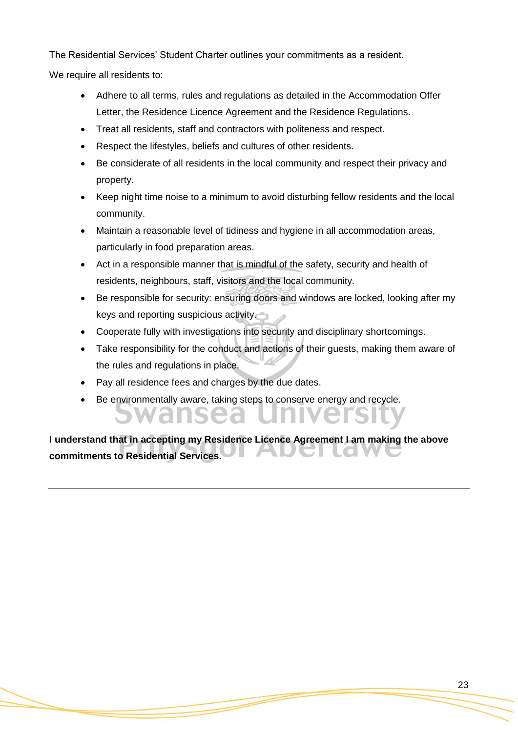The Residential Services' Student Charter outlines your commitments as a resident.

We require all residents to:

- Adhere to all terms, rules and regulations as detailed in the Accommodation Offer Letter, the Residence Licence Agreement and the Residence Regulations.
- Treat all residents, staff and contractors with politeness and respect.
- Respect the lifestyles, beliefs and cultures of other residents.
- Be considerate of all residents in the local community and respect their privacy and property.
- Keep night time noise to a minimum to avoid disturbing fellow residents and the local community.
- Maintain a reasonable level of tidiness and hygiene in all accommodation areas, particularly in food preparation areas.
- Act in a responsible manner that is mindful of the safety, security and health of residents, neighbours, staff, visitors and the local community.
- Be responsible for security: ensuring doors and windows are locked, looking after my keys and reporting suspicious activity.
- Cooperate fully with investigations into security and disciplinary shortcomings.
- Take responsibility for the conduct and actions of their guests, making them aware of the rules and regulations in place.
- Pay all residence fees and charges by the due dates.
- Be environmentally aware, taking steps to conserve energy and recycle.

**I understand that in accepting my Residence Licence Agreement I am making the above commitments to Residential Services.**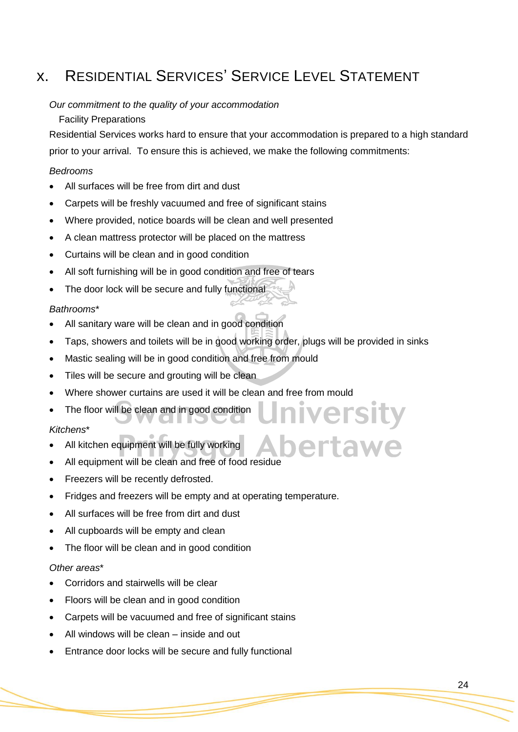# <span id="page-23-0"></span>x. RESIDENTIAL SERVICES' SERVICE LEVEL STATEMENT

### *Our commitment to the quality of your accommodation*

### Facility Preparations

Residential Services works hard to ensure that your accommodation is prepared to a high standard prior to your arrival. To ensure this is achieved, we make the following commitments:

## *Bedrooms*

- All surfaces will be free from dirt and dust
- Carpets will be freshly vacuumed and free of significant stains
- Where provided, notice boards will be clean and well presented
- A clean mattress protector will be placed on the mattress
- Curtains will be clean and in good condition
- All soft furnishing will be in good condition and free of tears
- The door lock will be secure and fully functional

## *Bathrooms*\*

- All sanitary ware will be clean and in good condition
- Taps, showers and toilets will be in good working order, plugs will be provided in sinks

ersity

- Mastic sealing will be in good condition and free from mould
- Tiles will be secure and grouting will be clean
- Where shower curtains are used it will be clean and free from mould
- The floor will be clean and in good condition

### *Kitchens*\*

- All kitchen equipment will be fully working
- All equipment will be clean and free of food residue
- Freezers will be recently defrosted.
- Fridges and freezers will be empty and at operating temperature.
- All surfaces will be free from dirt and dust
- All cupboards will be empty and clean
- The floor will be clean and in good condition

### *Other areas*\*

- Corridors and stairwells will be clear
- Floors will be clean and in good condition
- Carpets will be vacuumed and free of significant stains
- All windows will be clean inside and out
- Entrance door locks will be secure and fully functional